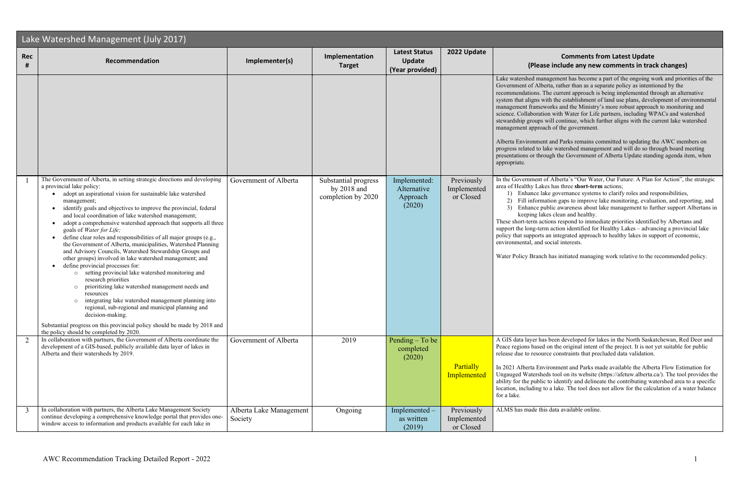## **<sup>2022</sup> Update Comments from Latest Update linclude any new comments in track changes)**

agement has become a part of the ongoing work and priorities of the ta, rather than as a separate policy as intentioned by the re current approach is being implemented through an alternative th the establishment of land use plans, development of environmental orks and the Ministry's more robust approach to monitoring and n with Water for Life partners, including WPACs and watershed vill continue, which further aligns with the current lake watershed h of the government.

and Parks remains committed to updating the AWC members on ke watershed management and will do so through board meeting igh the Government of Alberta Update standing agenda item, when

If Alberta's "Our Water, Our Future: A Plan for Action", the strategic area short-term actions;

ke governance systems to clarify roles and responsibilities,

tion gaps to improve lake monitoring, evaluation, and reporting, and blic awareness about lake management to further support Albertans in es clean and healthy.

ons respond to immediate priorities identified by Albertans and action identified for Healthy Lakes – advancing a provincial lake in integrated approach to healthy lakes in support of economic, ocial interests.

has initiated managing work relative to the recommended policy.

been developed for lakes in the North Saskatchewan, Red Deer and on the original intent of the project. It is not yet suitable for public re constraints that precluded data validation.

ronment and Parks made available the Alberta Flow Estimation for ls tool on its website (https://afetuw.alberta.ca/). The tool provides the to identify and delineate the contributing watershed area to a specific a lake. The tool does not allow for the calculation of a water balance

data available online.

| Lake Watershed Management (July 2017) |                                                                                                                                                                                                                                                                                                                                                                                                                                                                                                                                                                                                                                                                                                                                                                                                                                                                                                                                                                                                                                                                                                                                                                                                |                                    |                                                             |                                                          |                                        |                                                                                                                                                                                                                                                                                     |
|---------------------------------------|------------------------------------------------------------------------------------------------------------------------------------------------------------------------------------------------------------------------------------------------------------------------------------------------------------------------------------------------------------------------------------------------------------------------------------------------------------------------------------------------------------------------------------------------------------------------------------------------------------------------------------------------------------------------------------------------------------------------------------------------------------------------------------------------------------------------------------------------------------------------------------------------------------------------------------------------------------------------------------------------------------------------------------------------------------------------------------------------------------------------------------------------------------------------------------------------|------------------------------------|-------------------------------------------------------------|----------------------------------------------------------|----------------------------------------|-------------------------------------------------------------------------------------------------------------------------------------------------------------------------------------------------------------------------------------------------------------------------------------|
| <b>Rec</b><br>#                       | Recommendation                                                                                                                                                                                                                                                                                                                                                                                                                                                                                                                                                                                                                                                                                                                                                                                                                                                                                                                                                                                                                                                                                                                                                                                 | Implementer(s)                     | Implementation<br><b>Target</b>                             | <b>Latest Status</b><br><b>Update</b><br>(Year provided) | 2022 Update                            | (Please                                                                                                                                                                                                                                                                             |
|                                       |                                                                                                                                                                                                                                                                                                                                                                                                                                                                                                                                                                                                                                                                                                                                                                                                                                                                                                                                                                                                                                                                                                                                                                                                |                                    |                                                             |                                                          |                                        | Lake watershed mana<br>Government of Alber<br>recommendations. Th<br>system that aligns wit<br>management framew<br>science. Collaboratio<br>stewardship groups w<br>management approac<br>Alberta Environment<br>progress related to lal<br>presentations or throu<br>appropriate. |
|                                       | The Government of Alberta, in setting strategic directions and developing<br>a provincial lake policy:<br>adopt an aspirational vision for sustainable lake watershed<br>management;<br>identify goals and objectives to improve the provincial, federal<br>$\bullet$<br>and local coordination of lake watershed management;<br>adopt a comprehensive watershed approach that supports all three<br>$\bullet$<br>goals of Water for Life;<br>define clear roles and responsibilities of all major groups (e.g.,<br>$\bullet$<br>the Government of Alberta, municipalities, Watershed Planning<br>and Advisory Councils, Watershed Stewardship Groups and<br>other groups) involved in lake watershed management; and<br>define provincial processes for:<br>setting provincial lake watershed monitoring and<br>$\circ$<br>research priorities<br>prioritizing lake watershed management needs and<br>$\circ$<br>resources<br>integrating lake watershed management planning into<br>$\circ$<br>regional, sub-regional and municipal planning and<br>decision-making.<br>Substantial progress on this provincial policy should be made by 2018 and<br>the policy should be completed by 2020. | Government of Alberta              | Substantial progress<br>by $2018$ and<br>completion by 2020 | Implemented:<br>Alternative<br>Approach<br>(2020)        | Previously<br>Implemented<br>or Closed | In the Government of<br>area of Healthy Lake<br>1) Enhance lak<br>Fill informat<br>2)<br>3)<br>Enhance pul<br>keeping lake<br>These short-term acti<br>support the long-term<br>policy that supports a<br>environmental, and so<br>Water Policy Branch                              |
| 2                                     | In collaboration with partners, the Government of Alberta coordinate the<br>development of a GIS-based, publicly available data layer of lakes in<br>Alberta and their watersheds by 2019.                                                                                                                                                                                                                                                                                                                                                                                                                                                                                                                                                                                                                                                                                                                                                                                                                                                                                                                                                                                                     | Government of Alberta              | 2019                                                        | Pending $-$ To be<br>completed<br>(2020)                 | <b>Partially</b><br>Implemented        | A GIS data layer has<br>Peace regions based<br>release due to resourd<br>In 2021 Alberta Envi<br><b>Ungauged Watershed</b><br>ability for the public<br>location, including to<br>for a lake.                                                                                       |
| 3                                     | In collaboration with partners, the Alberta Lake Management Society<br>continue developing a comprehensive knowledge portal that provides one-<br>window access to information and products available for each lake in                                                                                                                                                                                                                                                                                                                                                                                                                                                                                                                                                                                                                                                                                                                                                                                                                                                                                                                                                                         | Alberta Lake Management<br>Society | Ongoing                                                     | Implemented -<br>as written<br>(2019)                    | Previously<br>Implemented<br>or Closed | ALMS has made this                                                                                                                                                                                                                                                                  |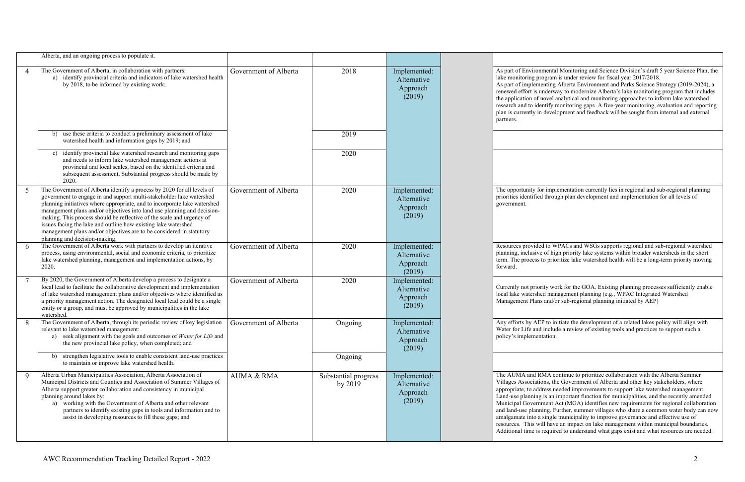|                | Alberta, and an ongoing process to populate it.                                                                                                                                                                                                                                                                                                                                                                                                                                                                                                            |                       |                                   |                                                   |                                                                                                                                                                                                                         |
|----------------|------------------------------------------------------------------------------------------------------------------------------------------------------------------------------------------------------------------------------------------------------------------------------------------------------------------------------------------------------------------------------------------------------------------------------------------------------------------------------------------------------------------------------------------------------------|-----------------------|-----------------------------------|---------------------------------------------------|-------------------------------------------------------------------------------------------------------------------------------------------------------------------------------------------------------------------------|
| $\overline{4}$ | The Government of Alberta, in collaboration with partners:<br>a) identify provincial criteria and indicators of lake watershed health<br>by 2018, to be informed by existing work;                                                                                                                                                                                                                                                                                                                                                                         | Government of Alberta | 2018                              | Implemented:<br>Alternative<br>Approach<br>(2019) | As part of Environme<br>lake monitoring progr<br>As part of implement<br>renewed effort is und<br>the application of nov<br>research and to identi<br>plan is currently in de<br>partners.                              |
|                | use these criteria to conduct a preliminary assessment of lake<br>b)<br>watershed health and information gaps by 2019; and                                                                                                                                                                                                                                                                                                                                                                                                                                 |                       | 2019                              |                                                   |                                                                                                                                                                                                                         |
|                | identify provincial lake watershed research and monitoring gaps<br>c)<br>and needs to inform lake watershed management actions at<br>provincial and local scales, based on the identified criteria and<br>subsequent assessment. Substantial progress should be made by<br>2020.                                                                                                                                                                                                                                                                           |                       | 2020                              |                                                   |                                                                                                                                                                                                                         |
| 5              | The Government of Alberta identify a process by 2020 for all levels of<br>government to engage in and support multi-stakeholder lake watershed<br>planning initiatives where appropriate, and to incorporate lake watershed<br>management plans and/or objectives into land use planning and decision-<br>making. This process should be reflective of the scale and urgency of<br>issues facing the lake and outline how existing lake watershed<br>management plans and/or objectives are to be considered in statutory<br>planning and decision-making. | Government of Alberta | 2020                              | Implemented:<br>Alternative<br>Approach<br>(2019) | The opportunity for in<br>priorities identified th<br>government.                                                                                                                                                       |
| 6              | The Government of Alberta work with partners to develop an iterative<br>process, using environmental, social and economic criteria, to prioritize<br>lake watershed planning, management and implementation actions, by<br>2020.                                                                                                                                                                                                                                                                                                                           | Government of Alberta | 2020                              | Implemented:<br>Alternative<br>Approach<br>(2019) | Resources provided to<br>planning, inclusive of<br>term. The process to p<br>forward.                                                                                                                                   |
|                | By 2020, the Government of Alberta develop a process to designate a<br>local lead to facilitate the collaborative development and implementation<br>of lake watershed management plans and/or objectives where identified as<br>a priority management action. The designated local lead could be a single<br>entity or a group, and must be approved by municipalities in the lake<br>watershed.                                                                                                                                                           | Government of Alberta | 2020                              | Implemented:<br>Alternative<br>Approach<br>(2019) | Currently not priority<br>local lake watershed i<br>Management Plans ar                                                                                                                                                 |
|                | The Government of Alberta, through its periodic review of key legislation   Government of Alberta<br>relevant to lake watershed management:<br>a) seek alignment with the goals and outcomes of Water for Life and<br>the new provincial lake policy, when completed; and                                                                                                                                                                                                                                                                                  |                       | Ongoing                           | Implemented:<br>Alternative<br>Approach<br>(2019) | Any efforts by AEP to<br>Water for Life and in<br>policy's implementati                                                                                                                                                 |
|                | strengthen legislative tools to enable consistent land-use practices<br>b)<br>to maintain or improve lake watershed health.                                                                                                                                                                                                                                                                                                                                                                                                                                |                       | Ongoing                           |                                                   |                                                                                                                                                                                                                         |
| 9              | Alberta Urban Municipalities Association, Alberta Association of<br>Municipal Districts and Counties and Association of Summer Villages of<br>Alberta support greater collaboration and consistency in municipal<br>planning around lakes by:<br>a) working with the Government of Alberta and other relevant<br>partners to identify existing gaps in tools and information and to<br>assist in developing resources to fill these gaps; and                                                                                                              | <b>AUMA &amp; RMA</b> | Substantial progress<br>by $2019$ | Implemented:<br>Alternative<br>Approach<br>(2019) | The AUMA and RMA<br>Villages Associations<br>appropriate, to addres<br>Land-use planning is<br>Municipal Governme<br>and land-use planning<br>amalgamate into a sin<br>resources. This will h<br>Additional time is req |

ental Monitoring and Science Division's draft 5 year Science Plan, the ram is under review for fiscal year 2017/2018.

ing Alberta Environment and Parks Science Strategy (2019-2024), a lerway to modernize Alberta's lake monitoring program that includes vel analytical and monitoring approaches to inform lake watershed ify monitoring gaps. A five-year monitoring, evaluation and reporting evelopment and feedback will be sought from internal and external

## mplementation currently lies in regional and sub-regional planning prough plan development and implementation for all levels of

o WPACs and WSGs supports regional and sub-regional watershed f high priority lake systems within broader watersheds in the short prioritize lake watershed health will be a long-term priority moving

work for the GOA. Existing planning processes sufficiently enable management planning (e.g., WPAC Integrated Watershed nd/or sub-regional planning initiated by AEP)

to initiate the development of a related lakes policy will align with clude a review of existing tools and practices to support such a ion.

A continue to prioritize collaboration with the Alberta Summer s, the Government of Alberta and other key stakeholders, where as needed improvements to support lake watershed management. an important function for municipalities, and the recently amended ent Act (MGA) identifies new requirements for regional collaboration g. Further, summer villages who share a common water body can now agle municipality to improve governance and effective use of have an impact on lake management within municipal boundaries. quired to understand what gaps exist and what resources are needed.